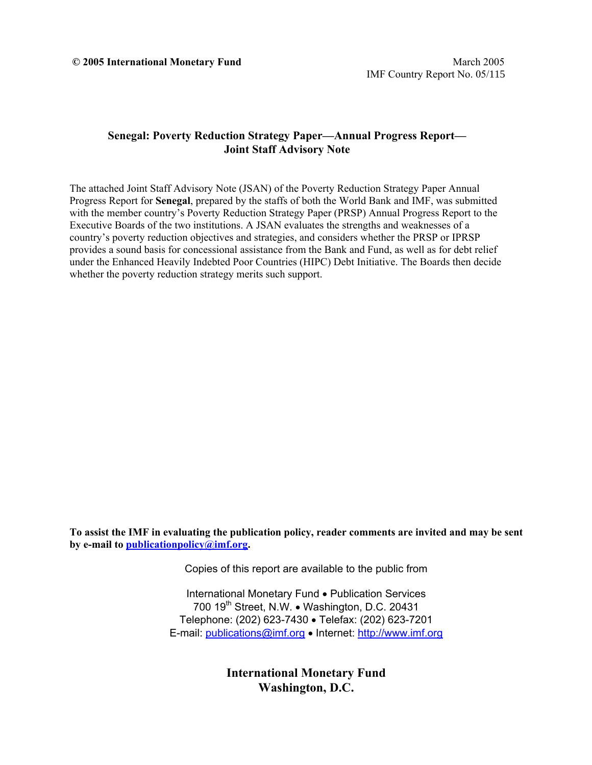# **Senegal: Poverty Reduction Strategy Paper—Annual Progress Report— Joint Staff Advisory Note**

The attached Joint Staff Advisory Note (JSAN) of the Poverty Reduction Strategy Paper Annual Progress Report for **Senegal**, prepared by the staffs of both the World Bank and IMF, was submitted with the member country's Poverty Reduction Strategy Paper (PRSP) Annual Progress Report to the Executive Boards of the two institutions. A JSAN evaluates the strengths and weaknesses of a country's poverty reduction objectives and strategies, and considers whether the PRSP or IPRSP provides a sound basis for concessional assistance from the Bank and Fund, as well as for debt relief under the Enhanced Heavily Indebted Poor Countries (HIPC) Debt Initiative. The Boards then decide whether the poverty reduction strategy merits such support.

**To assist the IMF in evaluating the publication policy, reader comments are invited and may be sent by e-mail to publicationpolicy@imf.org.**

Copies of this report are available to the public from

International Monetary Fund • Publication Services 700 19<sup>th</sup> Street, N.W. • Washington, D.C. 20431 Telephone: (202) 623-7430 • Telefax: (202) 623-7201 E-mail: publications@imf.org • Internet: http://www.imf.org

> **International Monetary Fund Washington, D.C.**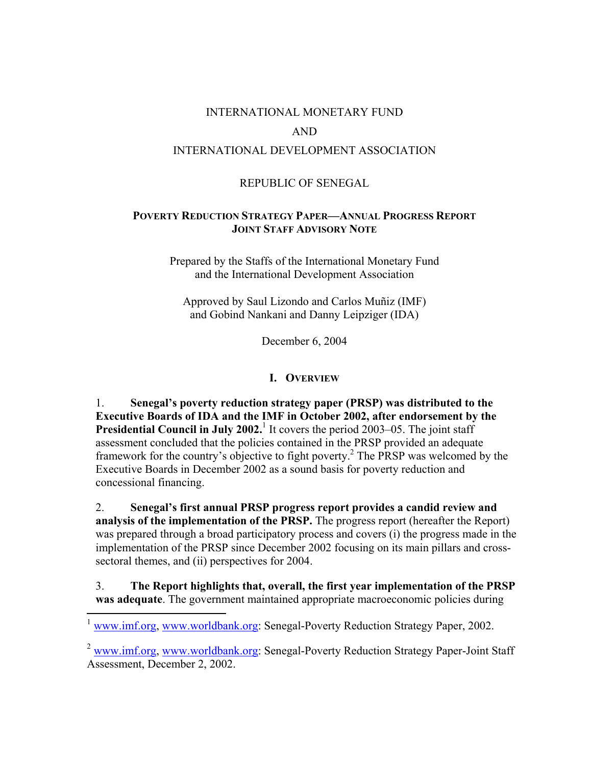### INTERNATIONAL MONETARY FUND

#### AND

# INTERNATIONAL DEVELOPMENT ASSOCIATION

### REPUBLIC OF SENEGAL

### **POVERTY REDUCTION STRATEGY PAPER—ANNUAL PROGRESS REPORT JOINT STAFF ADVISORY NOTE**

Prepared by the Staffs of the International Monetary Fund and the International Development Association

Approved by Saul Lizondo and Carlos Muñiz (IMF) and Gobind Nankani and Danny Leipziger (IDA)

December 6, 2004

#### **I. OVERVIEW**

1. **Senegal's poverty reduction strategy paper (PRSP) was distributed to the Executive Boards of IDA and the IMF in October 2002, after endorsement by the Presidential Council in July 2002.**<sup>1</sup> It covers the period 2003–05. The joint staff assessment concluded that the policies contained in the PRSP provided an adequate framework for the country's objective to fight poverty.<sup>2</sup> The PRSP was welcomed by the Executive Boards in December 2002 as a sound basis for poverty reduction and concessional financing.

2. **Senegal's first annual PRSP progress report provides a candid review and analysis of the implementation of the PRSP.** The progress report (hereafter the Report) was prepared through a broad participatory process and covers (i) the progress made in the implementation of the PRSP since December 2002 focusing on its main pillars and crosssectoral themes, and (ii) perspectives for 2004.

3. **The Report highlights that, overall, the first year implementation of the PRSP was adequate**. The government maintained appropriate macroeconomic policies during

www.imf.org, www.worldbank.org: Senegal-Poverty Reduction Strategy Paper, 2002.

1

 $2$  www.imf.org, www.worldbank.org: Senegal-Poverty Reduction Strategy Paper-Joint Staff Assessment, December 2, 2002.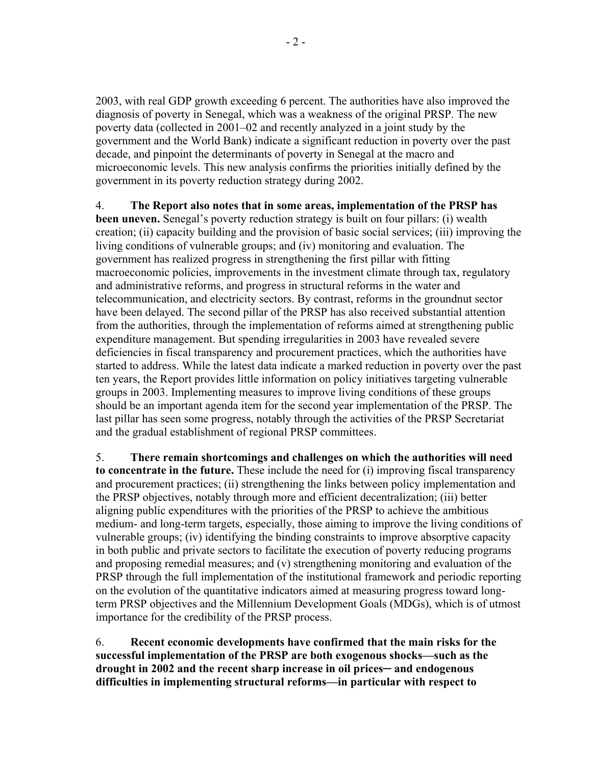2003, with real GDP growth exceeding 6 percent. The authorities have also improved the diagnosis of poverty in Senegal, which was a weakness of the original PRSP. The new poverty data (collected in 2001–02 and recently analyzed in a joint study by the government and the World Bank) indicate a significant reduction in poverty over the past decade, and pinpoint the determinants of poverty in Senegal at the macro and microeconomic levels. This new analysis confirms the priorities initially defined by the government in its poverty reduction strategy during 2002.

4. **The Report also notes that in some areas, implementation of the PRSP has been uneven.** Senegal's poverty reduction strategy is built on four pillars: (i) wealth creation; (ii) capacity building and the provision of basic social services; (iii) improving the living conditions of vulnerable groups; and (iv) monitoring and evaluation. The government has realized progress in strengthening the first pillar with fitting macroeconomic policies, improvements in the investment climate through tax, regulatory and administrative reforms, and progress in structural reforms in the water and telecommunication, and electricity sectors. By contrast, reforms in the groundnut sector have been delayed. The second pillar of the PRSP has also received substantial attention from the authorities, through the implementation of reforms aimed at strengthening public expenditure management. But spending irregularities in 2003 have revealed severe deficiencies in fiscal transparency and procurement practices, which the authorities have started to address. While the latest data indicate a marked reduction in poverty over the past ten years, the Report provides little information on policy initiatives targeting vulnerable groups in 2003. Implementing measures to improve living conditions of these groups should be an important agenda item for the second year implementation of the PRSP. The last pillar has seen some progress, notably through the activities of the PRSP Secretariat and the gradual establishment of regional PRSP committees.

5. **There remain shortcomings and challenges on which the authorities will need to concentrate in the future.** These include the need for (i) improving fiscal transparency and procurement practices; (ii) strengthening the links between policy implementation and the PRSP objectives, notably through more and efficient decentralization; (iii) better aligning public expenditures with the priorities of the PRSP to achieve the ambitious medium- and long-term targets, especially, those aiming to improve the living conditions of vulnerable groups; (iv) identifying the binding constraints to improve absorptive capacity in both public and private sectors to facilitate the execution of poverty reducing programs and proposing remedial measures; and (v) strengthening monitoring and evaluation of the PRSP through the full implementation of the institutional framework and periodic reporting on the evolution of the quantitative indicators aimed at measuring progress toward longterm PRSP objectives and the Millennium Development Goals (MDGs), which is of utmost importance for the credibility of the PRSP process.

6. **Recent economic developments have confirmed that the main risks for the successful implementation of the PRSP are both exogenous shocks—such as the drought in 2002 and the recent sharp increase in oil prices─ and endogenous difficulties in implementing structural reforms—in particular with respect to**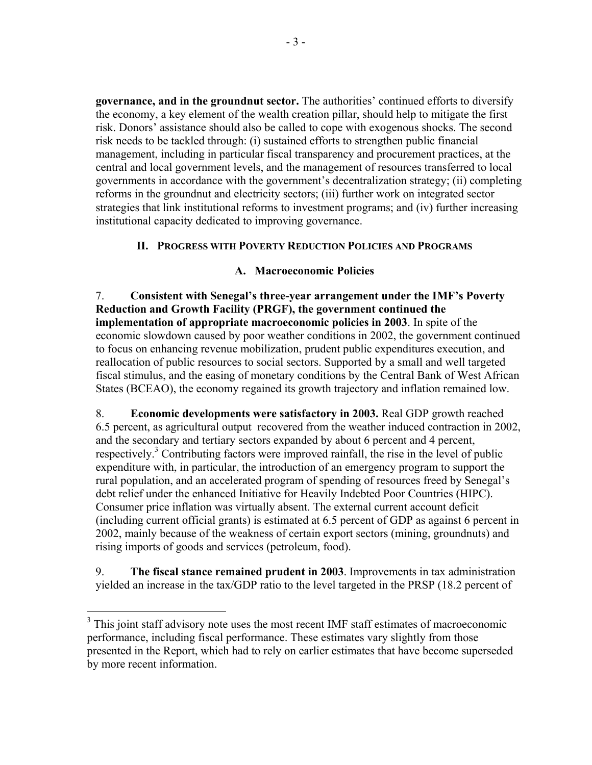**governance, and in the groundnut sector.** The authorities' continued efforts to diversify the economy, a key element of the wealth creation pillar, should help to mitigate the first risk. Donors' assistance should also be called to cope with exogenous shocks. The second risk needs to be tackled through: (i) sustained efforts to strengthen public financial management, including in particular fiscal transparency and procurement practices, at the central and local government levels, and the management of resources transferred to local governments in accordance with the government's decentralization strategy; (ii) completing reforms in the groundnut and electricity sectors; (iii) further work on integrated sector strategies that link institutional reforms to investment programs; and (iv) further increasing institutional capacity dedicated to improving governance.

# **II. PROGRESS WITH POVERTY REDUCTION POLICIES AND PROGRAMS**

### **A. Macroeconomic Policies**

7. **Consistent with Senegal's three-year arrangement under the IMF's Poverty Reduction and Growth Facility (PRGF), the government continued the implementation of appropriate macroeconomic policies in 2003**. In spite of the economic slowdown caused by poor weather conditions in 2002, the government continued to focus on enhancing revenue mobilization, prudent public expenditures execution, and reallocation of public resources to social sectors. Supported by a small and well targeted fiscal stimulus, and the easing of monetary conditions by the Central Bank of West African States (BCEAO), the economy regained its growth trajectory and inflation remained low.

8. **Economic developments were satisfactory in 2003.** Real GDP growth reached 6.5 percent, as agricultural output recovered from the weather induced contraction in 2002, and the secondary and tertiary sectors expanded by about 6 percent and 4 percent, respectively.<sup>3</sup> Contributing factors were improved rainfall, the rise in the level of public expenditure with, in particular, the introduction of an emergency program to support the rural population, and an accelerated program of spending of resources freed by Senegal's debt relief under the enhanced Initiative for Heavily Indebted Poor Countries (HIPC). Consumer price inflation was virtually absent. The external current account deficit (including current official grants) is estimated at 6.5 percent of GDP as against 6 percent in 2002, mainly because of the weakness of certain export sectors (mining, groundnuts) and rising imports of goods and services (petroleum, food).

9. **The fiscal stance remained prudent in 2003**. Improvements in tax administration yielded an increase in the tax/GDP ratio to the level targeted in the PRSP (18.2 percent of

<sup>&</sup>lt;sup>3</sup> This joint staff advisory note uses the most recent IMF staff estimates of macroeconomic performance, including fiscal performance. These estimates vary slightly from those presented in the Report, which had to rely on earlier estimates that have become superseded by more recent information.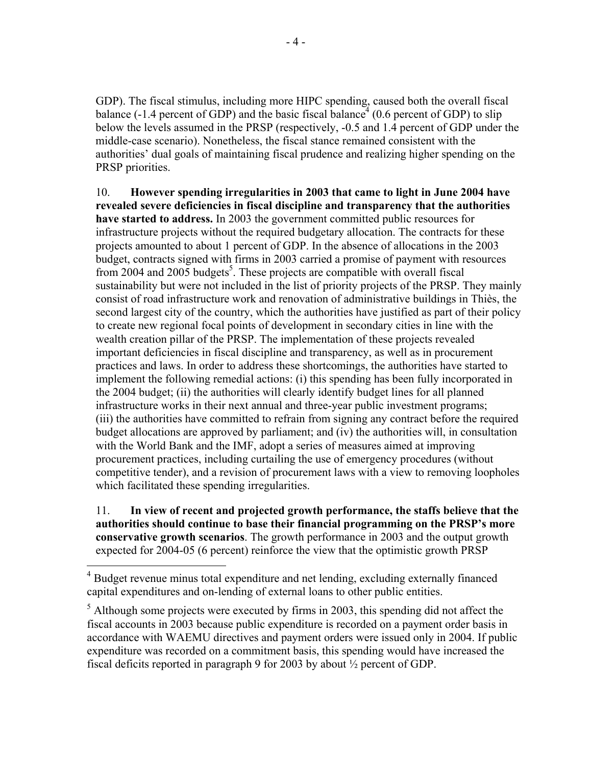GDP). The fiscal stimulus, including more HIPC spending, caused both the overall fiscal balance (-1.4 percent of GDP) and the basic fiscal balance  $(0.6$  percent of GDP) to slip below the levels assumed in the PRSP (respectively, -0.5 and 1.4 percent of GDP under the middle-case scenario). Nonetheless, the fiscal stance remained consistent with the authorities' dual goals of maintaining fiscal prudence and realizing higher spending on the PRSP priorities.

10. **However spending irregularities in 2003 that came to light in June 2004 have revealed severe deficiencies in fiscal discipline and transparency that the authorities have started to address.** In 2003 the government committed public resources for infrastructure projects without the required budgetary allocation. The contracts for these projects amounted to about 1 percent of GDP. In the absence of allocations in the 2003 budget, contracts signed with firms in 2003 carried a promise of payment with resources from 2004 and 2005 budgets<sup>5</sup>. These projects are compatible with overall fiscal sustainability but were not included in the list of priority projects of the PRSP. They mainly consist of road infrastructure work and renovation of administrative buildings in Thiès, the second largest city of the country, which the authorities have justified as part of their policy to create new regional focal points of development in secondary cities in line with the wealth creation pillar of the PRSP. The implementation of these projects revealed important deficiencies in fiscal discipline and transparency, as well as in procurement practices and laws. In order to address these shortcomings, the authorities have started to implement the following remedial actions: (i) this spending has been fully incorporated in the 2004 budget; (ii) the authorities will clearly identify budget lines for all planned infrastructure works in their next annual and three-year public investment programs; (iii) the authorities have committed to refrain from signing any contract before the required budget allocations are approved by parliament; and (iv) the authorities will, in consultation with the World Bank and the IMF, adopt a series of measures aimed at improving procurement practices, including curtailing the use of emergency procedures (without competitive tender), and a revision of procurement laws with a view to removing loopholes which facilitated these spending irregularities.

11. **In view of recent and projected growth performance, the staffs believe that the authorities should continue to base their financial programming on the PRSP's more conservative growth scenarios**. The growth performance in 2003 and the output growth expected for 2004-05 (6 percent) reinforce the view that the optimistic growth PRSP

 $\overline{a}$ 

<sup>4</sup> Budget revenue minus total expenditure and net lending, excluding externally financed capital expenditures and on-lending of external loans to other public entities.

 $<sup>5</sup>$  Although some projects were executed by firms in 2003, this spending did not affect the</sup> fiscal accounts in 2003 because public expenditure is recorded on a payment order basis in accordance with WAEMU directives and payment orders were issued only in 2004. If public expenditure was recorded on a commitment basis, this spending would have increased the fiscal deficits reported in paragraph 9 for 2003 by about ½ percent of GDP.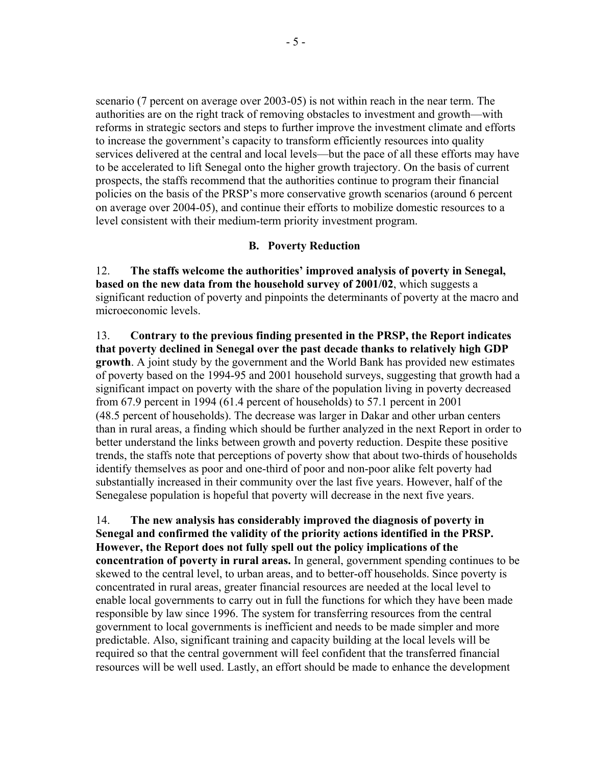scenario (7 percent on average over 2003-05) is not within reach in the near term. The authorities are on the right track of removing obstacles to investment and growth—with reforms in strategic sectors and steps to further improve the investment climate and efforts to increase the government's capacity to transform efficiently resources into quality services delivered at the central and local levels—but the pace of all these efforts may have to be accelerated to lift Senegal onto the higher growth trajectory. On the basis of current prospects, the staffs recommend that the authorities continue to program their financial policies on the basis of the PRSP's more conservative growth scenarios (around 6 percent on average over 2004-05), and continue their efforts to mobilize domestic resources to a level consistent with their medium-term priority investment program.

### **B. Poverty Reduction**

12. **The staffs welcome the authorities' improved analysis of poverty in Senegal, based on the new data from the household survey of 2001/02**, which suggests a significant reduction of poverty and pinpoints the determinants of poverty at the macro and microeconomic levels.

13. **Contrary to the previous finding presented in the PRSP, the Report indicates that poverty declined in Senegal over the past decade thanks to relatively high GDP growth**. A joint study by the government and the World Bank has provided new estimates of poverty based on the 1994-95 and 2001 household surveys, suggesting that growth had a significant impact on poverty with the share of the population living in poverty decreased from 67.9 percent in 1994 (61.4 percent of households) to 57.1 percent in 2001 (48.5 percent of households). The decrease was larger in Dakar and other urban centers than in rural areas, a finding which should be further analyzed in the next Report in order to better understand the links between growth and poverty reduction. Despite these positive trends, the staffs note that perceptions of poverty show that about two-thirds of households identify themselves as poor and one-third of poor and non-poor alike felt poverty had substantially increased in their community over the last five years. However, half of the Senegalese population is hopeful that poverty will decrease in the next five years.

14. **The new analysis has considerably improved the diagnosis of poverty in Senegal and confirmed the validity of the priority actions identified in the PRSP. However, the Report does not fully spell out the policy implications of the concentration of poverty in rural areas.** In general, government spending continues to be skewed to the central level, to urban areas, and to better-off households. Since poverty is concentrated in rural areas, greater financial resources are needed at the local level to enable local governments to carry out in full the functions for which they have been made responsible by law since 1996. The system for transferring resources from the central government to local governments is inefficient and needs to be made simpler and more predictable. Also, significant training and capacity building at the local levels will be required so that the central government will feel confident that the transferred financial resources will be well used. Lastly, an effort should be made to enhance the development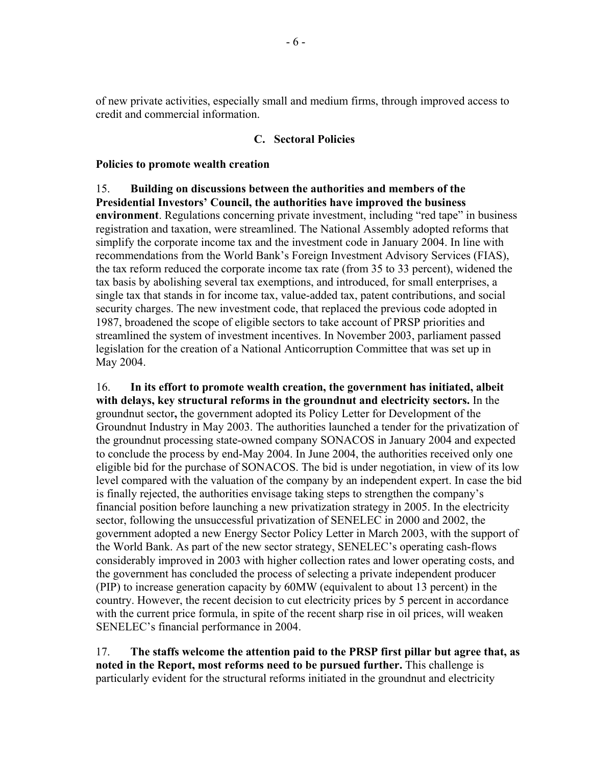of new private activities, especially small and medium firms, through improved access to credit and commercial information.

### **C. Sectoral Policies**

#### **Policies to promote wealth creation**

#### 15. **Building on discussions between the authorities and members of the Presidential Investors' Council, the authorities have improved the business**

**environment**. Regulations concerning private investment, including "red tape" in business registration and taxation, were streamlined. The National Assembly adopted reforms that simplify the corporate income tax and the investment code in January 2004. In line with recommendations from the World Bank's Foreign Investment Advisory Services (FIAS), the tax reform reduced the corporate income tax rate (from 35 to 33 percent), widened the tax basis by abolishing several tax exemptions, and introduced, for small enterprises, a single tax that stands in for income tax, value-added tax, patent contributions, and social security charges. The new investment code, that replaced the previous code adopted in 1987, broadened the scope of eligible sectors to take account of PRSP priorities and streamlined the system of investment incentives. In November 2003, parliament passed legislation for the creation of a National Anticorruption Committee that was set up in May 2004.

16. **In its effort to promote wealth creation, the government has initiated, albeit with delays, key structural reforms in the groundnut and electricity sectors.** In the groundnut sector**,** the government adopted its Policy Letter for Development of the Groundnut Industry in May 2003. The authorities launched a tender for the privatization of the groundnut processing state-owned company SONACOS in January 2004 and expected to conclude the process by end-May 2004. In June 2004, the authorities received only one eligible bid for the purchase of SONACOS. The bid is under negotiation, in view of its low level compared with the valuation of the company by an independent expert. In case the bid is finally rejected, the authorities envisage taking steps to strengthen the company's financial position before launching a new privatization strategy in 2005. In the electricity sector, following the unsuccessful privatization of SENELEC in 2000 and 2002, the government adopted a new Energy Sector Policy Letter in March 2003, with the support of the World Bank. As part of the new sector strategy, SENELEC's operating cash-flows considerably improved in 2003 with higher collection rates and lower operating costs, and the government has concluded the process of selecting a private independent producer (PIP) to increase generation capacity by 60MW (equivalent to about 13 percent) in the country. However, the recent decision to cut electricity prices by 5 percent in accordance with the current price formula, in spite of the recent sharp rise in oil prices, will weaken SENELEC's financial performance in 2004.

17. **The staffs welcome the attention paid to the PRSP first pillar but agree that, as noted in the Report, most reforms need to be pursued further.** This challenge is particularly evident for the structural reforms initiated in the groundnut and electricity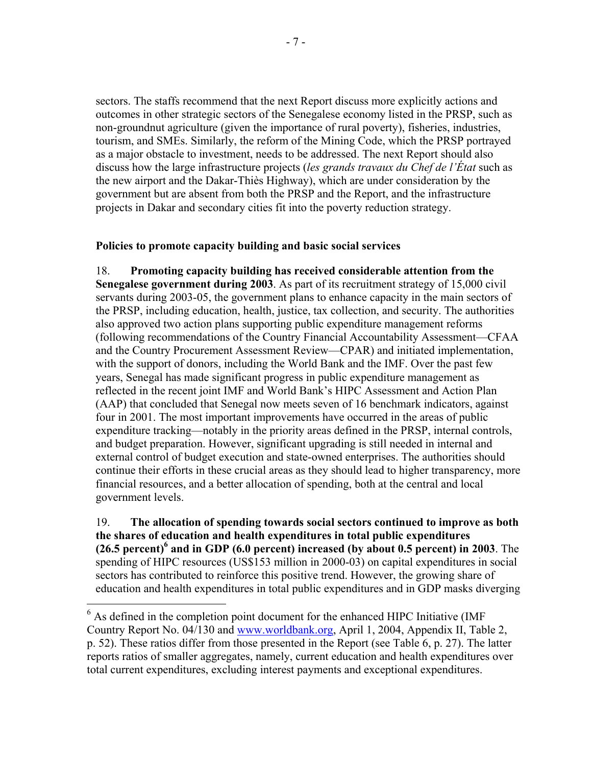sectors. The staffs recommend that the next Report discuss more explicitly actions and outcomes in other strategic sectors of the Senegalese economy listed in the PRSP, such as non-groundnut agriculture (given the importance of rural poverty), fisheries, industries, tourism, and SMEs. Similarly, the reform of the Mining Code, which the PRSP portrayed as a major obstacle to investment, needs to be addressed. The next Report should also discuss how the large infrastructure projects (*les grands travaux du Chef de l'État* such as the new airport and the Dakar-Thiès Highway), which are under consideration by the government but are absent from both the PRSP and the Report, and the infrastructure projects in Dakar and secondary cities fit into the poverty reduction strategy.

# **Policies to promote capacity building and basic social services**

18. **Promoting capacity building has received considerable attention from the Senegalese government during 2003**. As part of its recruitment strategy of 15,000 civil servants during 2003-05, the government plans to enhance capacity in the main sectors of the PRSP, including education, health, justice, tax collection, and security. The authorities also approved two action plans supporting public expenditure management reforms (following recommendations of the Country Financial Accountability Assessment—CFAA and the Country Procurement Assessment Review—CPAR) and initiated implementation, with the support of donors, including the World Bank and the IMF. Over the past few years, Senegal has made significant progress in public expenditure management as reflected in the recent joint IMF and World Bank's HIPC Assessment and Action Plan (AAP) that concluded that Senegal now meets seven of 16 benchmark indicators, against four in 2001. The most important improvements have occurred in the areas of public expenditure tracking—notably in the priority areas defined in the PRSP, internal controls, and budget preparation. However, significant upgrading is still needed in internal and external control of budget execution and state-owned enterprises. The authorities should continue their efforts in these crucial areas as they should lead to higher transparency, more financial resources, and a better allocation of spending, both at the central and local government levels.

19. **The allocation of spending towards social sectors continued to improve as both the shares of education and health expenditures in total public expenditures**  (26.5 percent)<sup>6</sup> and in GDP (6.0 percent) increased (by about 0.5 percent) in 2003. The spending of HIPC resources (US\$153 million in 2000-03) on capital expenditures in social sectors has contributed to reinforce this positive trend. However, the growing share of education and health expenditures in total public expenditures and in GDP masks diverging

 $\overline{a}$ 

 $<sup>6</sup>$  As defined in the completion point document for the enhanced HIPC Initiative (IMF)</sup> Country Report No. 04/130 and www.worldbank.org, April 1, 2004, Appendix II, Table 2, p. 52). These ratios differ from those presented in the Report (see Table 6, p. 27). The latter reports ratios of smaller aggregates, namely, current education and health expenditures over total current expenditures, excluding interest payments and exceptional expenditures.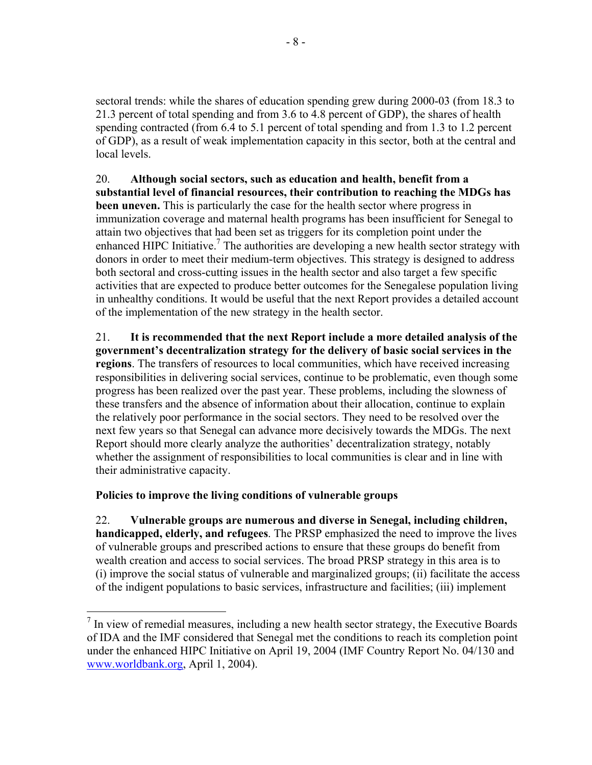sectoral trends: while the shares of education spending grew during 2000-03 (from 18.3 to 21.3 percent of total spending and from 3.6 to 4.8 percent of GDP), the shares of health spending contracted (from 6.4 to 5.1 percent of total spending and from 1.3 to 1.2 percent of GDP), as a result of weak implementation capacity in this sector, both at the central and local levels.

20. **Although social sectors, such as education and health, benefit from a substantial level of financial resources, their contribution to reaching the MDGs has been uneven.** This is particularly the case for the health sector where progress in immunization coverage and maternal health programs has been insufficient for Senegal to attain two objectives that had been set as triggers for its completion point under the enhanced HIPC Initiative.<sup>7</sup> The authorities are developing a new health sector strategy with donors in order to meet their medium-term objectives. This strategy is designed to address both sectoral and cross-cutting issues in the health sector and also target a few specific activities that are expected to produce better outcomes for the Senegalese population living in unhealthy conditions. It would be useful that the next Report provides a detailed account of the implementation of the new strategy in the health sector.

21. **It is recommended that the next Report include a more detailed analysis of the government's decentralization strategy for the delivery of basic social services in the regions**. The transfers of resources to local communities, which have received increasing responsibilities in delivering social services, continue to be problematic, even though some progress has been realized over the past year. These problems, including the slowness of these transfers and the absence of information about their allocation, continue to explain the relatively poor performance in the social sectors. They need to be resolved over the next few years so that Senegal can advance more decisively towards the MDGs. The next Report should more clearly analyze the authorities' decentralization strategy, notably whether the assignment of responsibilities to local communities is clear and in line with their administrative capacity.

# **Policies to improve the living conditions of vulnerable groups**

1

22. **Vulnerable groups are numerous and diverse in Senegal, including children, handicapped, elderly, and refugees**. The PRSP emphasized the need to improve the lives of vulnerable groups and prescribed actions to ensure that these groups do benefit from wealth creation and access to social services. The broad PRSP strategy in this area is to (i) improve the social status of vulnerable and marginalized groups; (ii) facilitate the access of the indigent populations to basic services, infrastructure and facilities; (iii) implement

 $<sup>7</sup>$  In view of remedial measures, including a new health sector strategy, the Executive Boards</sup> of IDA and the IMF considered that Senegal met the conditions to reach its completion point under the enhanced HIPC Initiative on April 19, 2004 (IMF Country Report No. 04/130 and www.worldbank.org, April 1, 2004).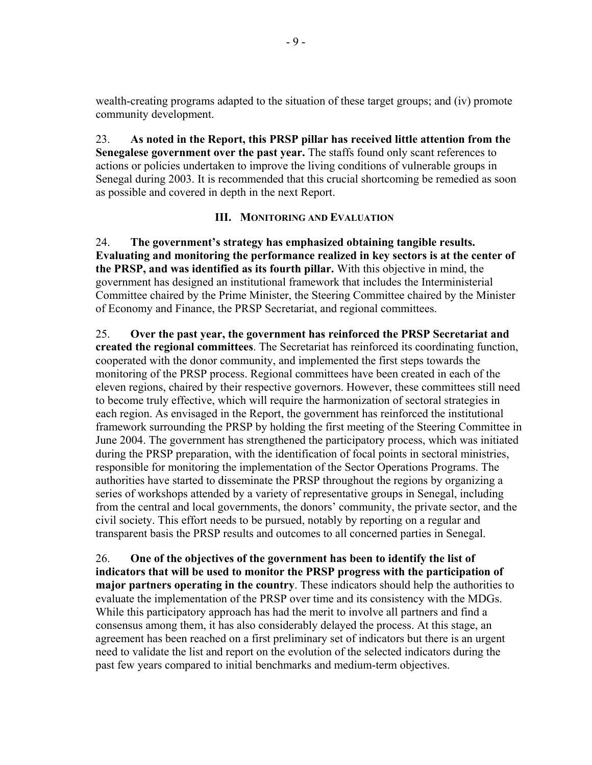wealth-creating programs adapted to the situation of these target groups; and (iv) promote community development.

23. **As noted in the Report, this PRSP pillar has received little attention from the Senegalese government over the past year.** The staffs found only scant references to actions or policies undertaken to improve the living conditions of vulnerable groups in Senegal during 2003. It is recommended that this crucial shortcoming be remedied as soon as possible and covered in depth in the next Report.

# **III. MONITORING AND EVALUATION**

24. **The government's strategy has emphasized obtaining tangible results. Evaluating and monitoring the performance realized in key sectors is at the center of the PRSP, and was identified as its fourth pillar.** With this objective in mind, the government has designed an institutional framework that includes the Interministerial Committee chaired by the Prime Minister, the Steering Committee chaired by the Minister of Economy and Finance, the PRSP Secretariat, and regional committees.

25. **Over the past year, the government has reinforced the PRSP Secretariat and created the regional committees**. The Secretariat has reinforced its coordinating function, cooperated with the donor community, and implemented the first steps towards the monitoring of the PRSP process. Regional committees have been created in each of the eleven regions, chaired by their respective governors. However, these committees still need to become truly effective, which will require the harmonization of sectoral strategies in each region. As envisaged in the Report, the government has reinforced the institutional framework surrounding the PRSP by holding the first meeting of the Steering Committee in June 2004. The government has strengthened the participatory process, which was initiated during the PRSP preparation, with the identification of focal points in sectoral ministries, responsible for monitoring the implementation of the Sector Operations Programs. The authorities have started to disseminate the PRSP throughout the regions by organizing a series of workshops attended by a variety of representative groups in Senegal, including from the central and local governments, the donors' community, the private sector, and the civil society. This effort needs to be pursued, notably by reporting on a regular and transparent basis the PRSP results and outcomes to all concerned parties in Senegal.

26. **One of the objectives of the government has been to identify the list of indicators that will be used to monitor the PRSP progress with the participation of major partners operating in the country**. These indicators should help the authorities to evaluate the implementation of the PRSP over time and its consistency with the MDGs. While this participatory approach has had the merit to involve all partners and find a consensus among them, it has also considerably delayed the process. At this stage, an agreement has been reached on a first preliminary set of indicators but there is an urgent need to validate the list and report on the evolution of the selected indicators during the past few years compared to initial benchmarks and medium-term objectives.